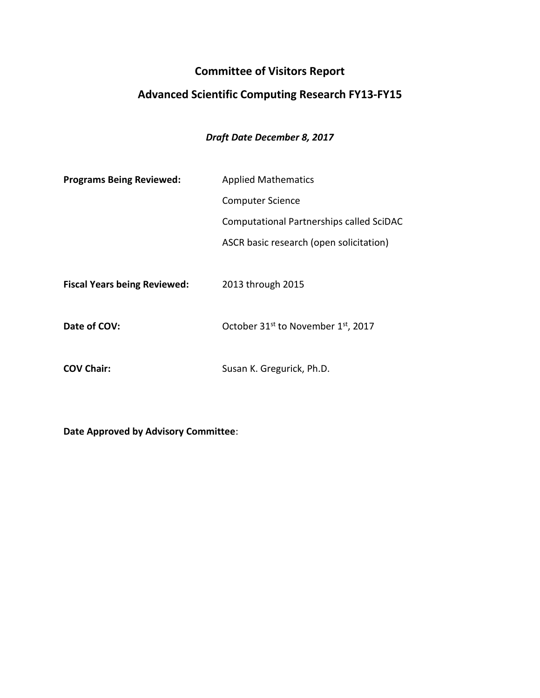## **Committee of Visitors Report**

# **Advanced Scientific Computing Research FY13-FY15**

## *Draft Date December 8, 2017*

| <b>Programs Being Reviewed:</b>     | <b>Applied Mathematics</b>                     |
|-------------------------------------|------------------------------------------------|
|                                     | <b>Computer Science</b>                        |
|                                     | Computational Partnerships called SciDAC       |
|                                     | ASCR basic research (open solicitation)        |
|                                     |                                                |
| <b>Fiscal Years being Reviewed:</b> | 2013 through 2015                              |
|                                     |                                                |
| Date of COV:                        | October 31 <sup>st</sup> to November 1st, 2017 |

**COV Chair:** Susan K. Gregurick, Ph.D.

**Date Approved by Advisory Committee**: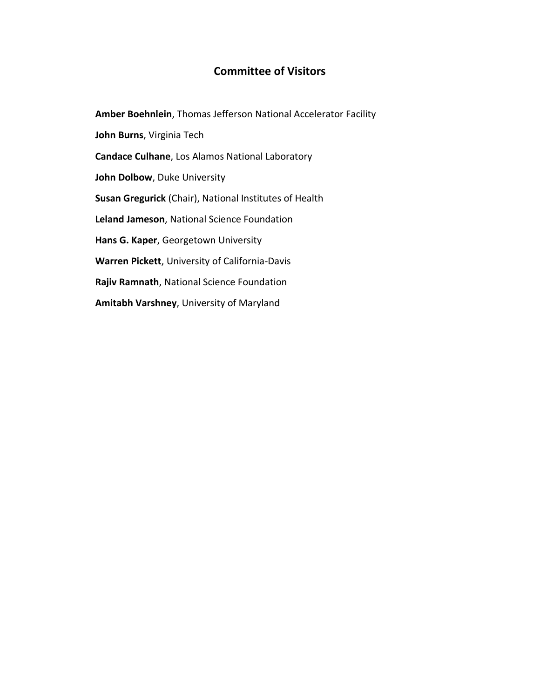### **Committee of Visitors**

**Amber Boehnlein**, Thomas Jefferson National Accelerator Facility **John Burns**, Virginia Tech **Candace Culhane**, Los Alamos National Laboratory **John Dolbow**, Duke University **Susan Gregurick** (Chair), National Institutes of Health **Leland Jameson**, National Science Foundation **Hans G. Kaper**, Georgetown University **Warren Pickett**, University of California-Davis **Rajiv Ramnath**, National Science Foundation **Amitabh Varshney**, University of Maryland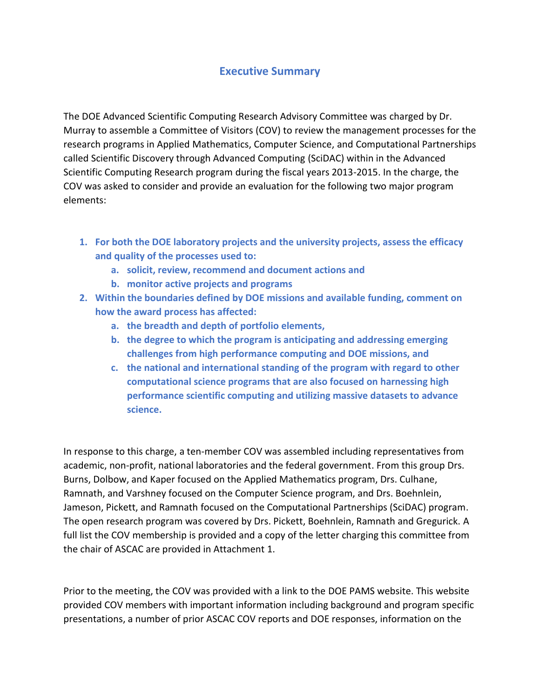### **Executive Summary**

The DOE Advanced Scientific Computing Research Advisory Committee was charged by Dr. Murray to assemble a Committee of Visitors (COV) to review the management processes for the research programs in Applied Mathematics, Computer Science, and Computational Partnerships called Scientific Discovery through Advanced Computing (SciDAC) within in the Advanced Scientific Computing Research program during the fiscal years 2013-2015. In the charge, the COV was asked to consider and provide an evaluation for the following two major program elements:

- **1. For both the DOE laboratory projects and the university projects, assess the efficacy and quality of the processes used to:**
	- **a. solicit, review, recommend and document actions and**
	- **b. monitor active projects and programs**
- **2. Within the boundaries defined by DOE missions and available funding, comment on how the award process has affected:**
	- **a. the breadth and depth of portfolio elements,**
	- **b. the degree to which the program is anticipating and addressing emerging challenges from high performance computing and DOE missions, and**
	- **c. the national and international standing of the program with regard to other computational science programs that are also focused on harnessing high performance scientific computing and utilizing massive datasets to advance science.**

In response to this charge, a ten-member COV was assembled including representatives from academic, non-profit, national laboratories and the federal government. From this group Drs. Burns, Dolbow, and Kaper focused on the Applied Mathematics program, Drs. Culhane, Ramnath, and Varshney focused on the Computer Science program, and Drs. Boehnlein, Jameson, Pickett, and Ramnath focused on the Computational Partnerships (SciDAC) program. The open research program was covered by Drs. Pickett, Boehnlein, Ramnath and Gregurick. A full list the COV membership is provided and a copy of the letter charging this committee from the chair of ASCAC are provided in Attachment 1.

Prior to the meeting, the COV was provided with a link to the DOE PAMS website. This website provided COV members with important information including background and program specific presentations, a number of prior ASCAC COV reports and DOE responses, information on the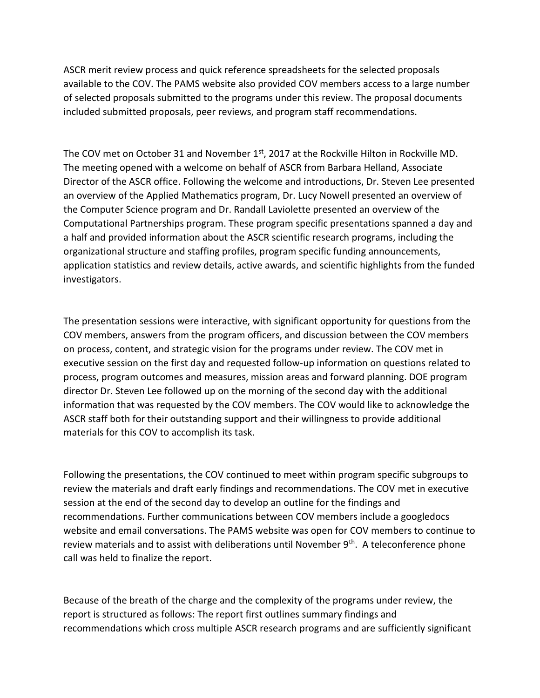ASCR merit review process and quick reference spreadsheets for the selected proposals available to the COV. The PAMS website also provided COV members access to a large number of selected proposals submitted to the programs under this review. The proposal documents included submitted proposals, peer reviews, and program staff recommendations.

The COV met on October 31 and November  $1<sup>st</sup>$ , 2017 at the Rockville Hilton in Rockville MD. The meeting opened with a welcome on behalf of ASCR from Barbara Helland, Associate Director of the ASCR office. Following the welcome and introductions, Dr. Steven Lee presented an overview of the Applied Mathematics program, Dr. Lucy Nowell presented an overview of the Computer Science program and Dr. Randall Laviolette presented an overview of the Computational Partnerships program. These program specific presentations spanned a day and a half and provided information about the ASCR scientific research programs, including the organizational structure and staffing profiles, program specific funding announcements, application statistics and review details, active awards, and scientific highlights from the funded investigators.

The presentation sessions were interactive, with significant opportunity for questions from the COV members, answers from the program officers, and discussion between the COV members on process, content, and strategic vision for the programs under review. The COV met in executive session on the first day and requested follow-up information on questions related to process, program outcomes and measures, mission areas and forward planning. DOE program director Dr. Steven Lee followed up on the morning of the second day with the additional information that was requested by the COV members. The COV would like to acknowledge the ASCR staff both for their outstanding support and their willingness to provide additional materials for this COV to accomplish its task.

Following the presentations, the COV continued to meet within program specific subgroups to review the materials and draft early findings and recommendations. The COV met in executive session at the end of the second day to develop an outline for the findings and recommendations. Further communications between COV members include a googledocs website and email conversations. The PAMS website was open for COV members to continue to review materials and to assist with deliberations until November 9<sup>th</sup>. A teleconference phone call was held to finalize the report.

Because of the breath of the charge and the complexity of the programs under review, the report is structured as follows: The report first outlines summary findings and recommendations which cross multiple ASCR research programs and are sufficiently significant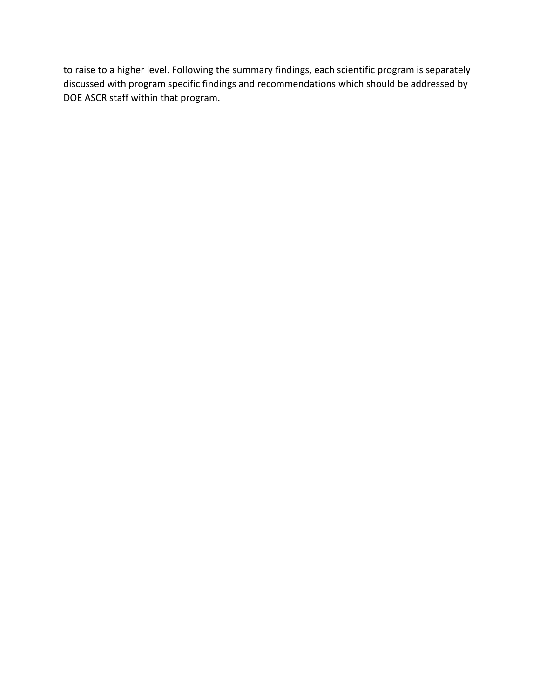to raise to a higher level. Following the summary findings, each scientific program is separately discussed with program specific findings and recommendations which should be addressed by DOE ASCR staff within that program.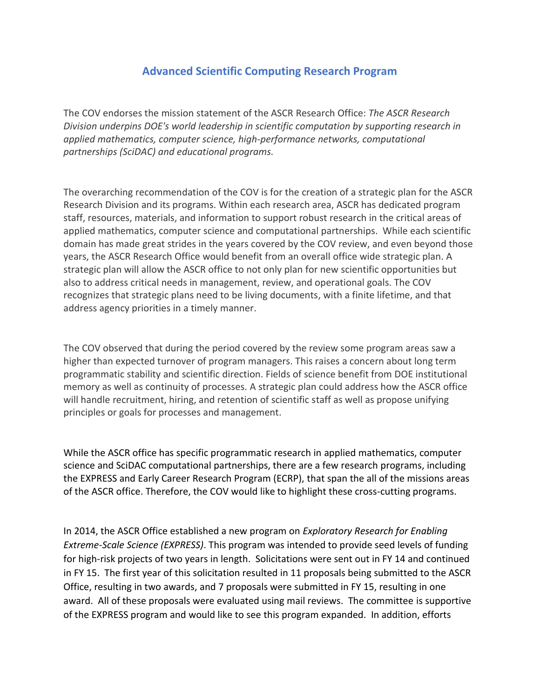## **Advanced Scientific Computing Research Program**

The COV endorses the mission statement of the ASCR Research Office: *The ASCR Research Division underpins DOE's world leadership in scientific computation by supporting research in applied mathematics, computer science, high-performance networks, computational partnerships (SciDAC) and educational programs.*

The overarching recommendation of the COV is for the creation of a strategic plan for the ASCR Research Division and its programs. Within each research area, ASCR has dedicated program staff, resources, materials, and information to support robust research in the critical areas of applied mathematics, computer science and computational partnerships. While each scientific domain has made great strides in the years covered by the COV review, and even beyond those years, the ASCR Research Office would benefit from an overall office wide strategic plan. A strategic plan will allow the ASCR office to not only plan for new scientific opportunities but also to address critical needs in management, review, and operational goals. The COV recognizes that strategic plans need to be living documents, with a finite lifetime, and that address agency priorities in a timely manner.

The COV observed that during the period covered by the review some program areas saw a higher than expected turnover of program managers. This raises a concern about long term programmatic stability and scientific direction. Fields of science benefit from DOE institutional memory as well as continuity of processes. A strategic plan could address how the ASCR office will handle recruitment, hiring, and retention of scientific staff as well as propose unifying principles or goals for processes and management.

While the ASCR office has specific programmatic research in applied mathematics, computer science and SciDAC computational partnerships, there are a few research programs, including the EXPRESS and Early Career Research Program (ECRP), that span the all of the missions areas of the ASCR office. Therefore, the COV would like to highlight these cross-cutting programs.

In 2014, the ASCR Office established a new program on *Exploratory Research for Enabling Extreme-Scale Science (EXPRESS)*. This program was intended to provide seed levels of funding for high-risk projects of two years in length. Solicitations were sent out in FY 14 and continued in FY 15. The first year of this solicitation resulted in 11 proposals being submitted to the ASCR Office, resulting in two awards, and 7 proposals were submitted in FY 15, resulting in one award. All of these proposals were evaluated using mail reviews. The committee is supportive of the EXPRESS program and would like to see this program expanded. In addition, efforts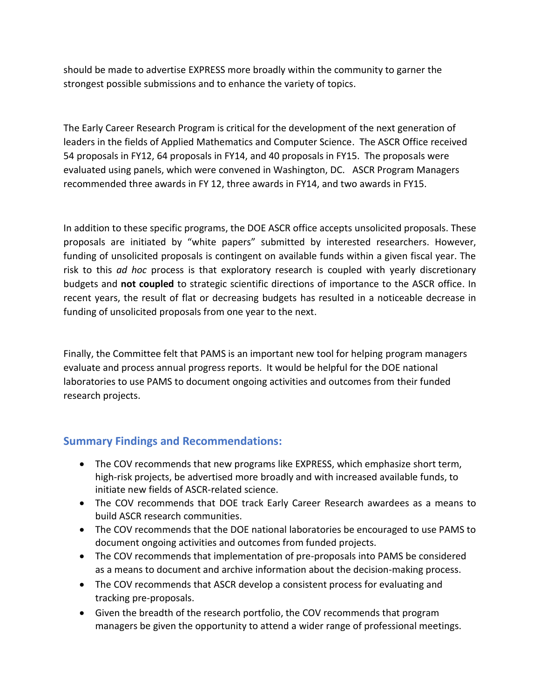should be made to advertise EXPRESS more broadly within the community to garner the strongest possible submissions and to enhance the variety of topics.

The Early Career Research Program is critical for the development of the next generation of leaders in the fields of Applied Mathematics and Computer Science. The ASCR Office received 54 proposals in FY12, 64 proposals in FY14, and 40 proposals in FY15. The proposals were evaluated using panels, which were convened in Washington, DC. ASCR Program Managers recommended three awards in FY 12, three awards in FY14, and two awards in FY15.

In addition to these specific programs, the DOE ASCR office accepts unsolicited proposals. These proposals are initiated by "white papers" submitted by interested researchers. However, funding of unsolicited proposals is contingent on available funds within a given fiscal year. The risk to this *ad hoc* process is that exploratory research is coupled with yearly discretionary budgets and **not coupled** to strategic scientific directions of importance to the ASCR office. In recent years, the result of flat or decreasing budgets has resulted in a noticeable decrease in funding of unsolicited proposals from one year to the next.

Finally, the Committee felt that PAMS is an important new tool for helping program managers evaluate and process annual progress reports. It would be helpful for the DOE national laboratories to use PAMS to document ongoing activities and outcomes from their funded research projects.

### **Summary Findings and Recommendations:**

- The COV recommends that new programs like EXPRESS, which emphasize short term, high-risk projects, be advertised more broadly and with increased available funds, to initiate new fields of ASCR-related science.
- The COV recommends that DOE track Early Career Research awardees as a means to build ASCR research communities.
- The COV recommends that the DOE national laboratories be encouraged to use PAMS to document ongoing activities and outcomes from funded projects.
- The COV recommends that implementation of pre-proposals into PAMS be considered as a means to document and archive information about the decision-making process.
- The COV recommends that ASCR develop a consistent process for evaluating and tracking pre-proposals.
- Given the breadth of the research portfolio, the COV recommends that program managers be given the opportunity to attend a wider range of professional meetings.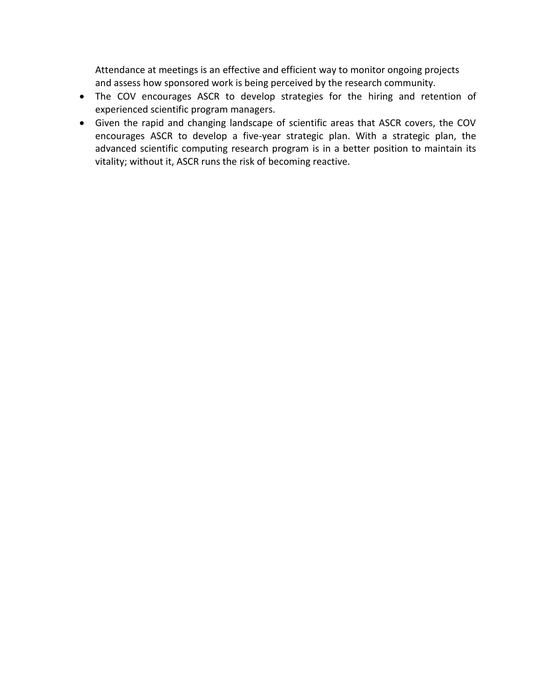Attendance at meetings is an effective and efficient way to monitor ongoing projects and assess how sponsored work is being perceived by the research community.

- The COV encourages ASCR to develop strategies for the hiring and retention of experienced scientific program managers.
- Given the rapid and changing landscape of scientific areas that ASCR covers, the COV encourages ASCR to develop a five-year strategic plan. With a strategic plan, the advanced scientific computing research program is in a better position to maintain its vitality; without it, ASCR runs the risk of becoming reactive.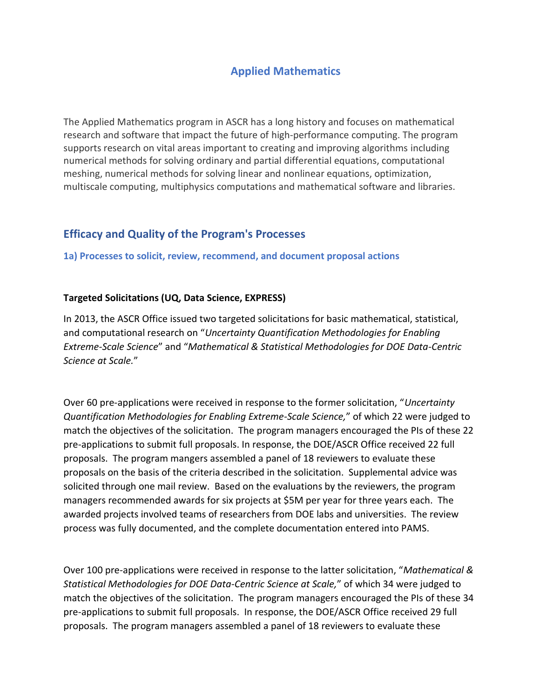## **Applied Mathematics**

The Applied Mathematics program in ASCR has a long history and focuses on mathematical research and software that impact the future of high-performance computing. The program supports research on vital areas important to creating and improving algorithms including numerical methods for solving ordinary and partial differential equations, computational meshing, numerical methods for solving linear and nonlinear equations, optimization, multiscale computing, multiphysics computations and mathematical software and libraries.

### **Efficacy and Quality of the Program's Processes**

**1a) Processes to solicit, review, recommend, and document proposal actions**

### **Targeted Solicitations (UQ, Data Science, EXPRESS)**

In 2013, the ASCR Office issued two targeted solicitations for basic mathematical, statistical, and computational research on "*Uncertainty Quantification Methodologies for Enabling Extreme-Scale Science*" and "*Mathematical & Statistical Methodologies for DOE Data-Centric Science at Scale.*"

Over 60 pre-applications were received in response to the former solicitation, "*Uncertainty Quantification Methodologies for Enabling Extreme-Scale Science,*" of which 22 were judged to match the objectives of the solicitation. The program managers encouraged the PIs of these 22 pre-applications to submit full proposals. In response, the DOE/ASCR Office received 22 full proposals. The program mangers assembled a panel of 18 reviewers to evaluate these proposals on the basis of the criteria described in the solicitation. Supplemental advice was solicited through one mail review. Based on the evaluations by the reviewers, the program managers recommended awards for six projects at \$5M per year for three years each. The awarded projects involved teams of researchers from DOE labs and universities. The review process was fully documented, and the complete documentation entered into PAMS.

Over 100 pre-applications were received in response to the latter solicitation, "*Mathematical & Statistical Methodologies for DOE Data-Centric Science at Scale,*" of which 34 were judged to match the objectives of the solicitation. The program managers encouraged the PIs of these 34 pre-applications to submit full proposals. In response, the DOE/ASCR Office received 29 full proposals. The program managers assembled a panel of 18 reviewers to evaluate these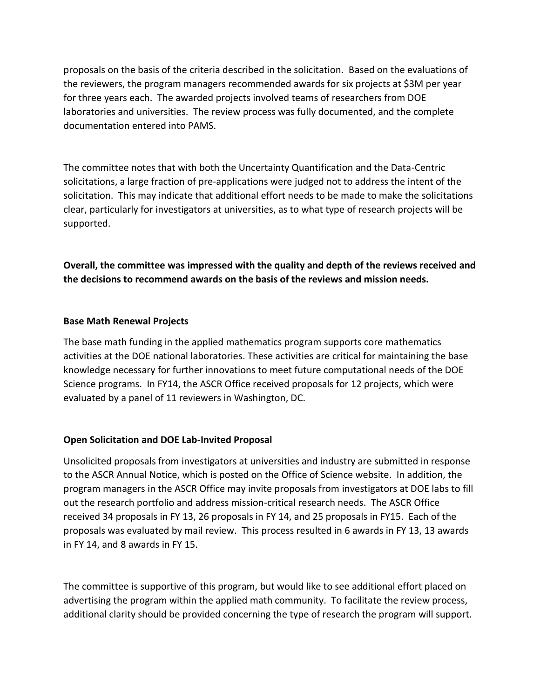proposals on the basis of the criteria described in the solicitation. Based on the evaluations of the reviewers, the program managers recommended awards for six projects at \$3M per year for three years each. The awarded projects involved teams of researchers from DOE laboratories and universities. The review process was fully documented, and the complete documentation entered into PAMS.

The committee notes that with both the Uncertainty Quantification and the Data-Centric solicitations, a large fraction of pre-applications were judged not to address the intent of the solicitation. This may indicate that additional effort needs to be made to make the solicitations clear, particularly for investigators at universities, as to what type of research projects will be supported.

**Overall, the committee was impressed with the quality and depth of the reviews received and the decisions to recommend awards on the basis of the reviews and mission needs.**

### **Base Math Renewal Projects**

The base math funding in the applied mathematics program supports core mathematics activities at the DOE national laboratories. These activities are critical for maintaining the base knowledge necessary for further innovations to meet future computational needs of the DOE Science programs. In FY14, the ASCR Office received proposals for 12 projects, which were evaluated by a panel of 11 reviewers in Washington, DC.

### **Open Solicitation and DOE Lab-Invited Proposal**

Unsolicited proposals from investigators at universities and industry are submitted in response to the ASCR Annual Notice, which is posted on the Office of Science website. In addition, the program managers in the ASCR Office may invite proposals from investigators at DOE labs to fill out the research portfolio and address mission-critical research needs. The ASCR Office received 34 proposals in FY 13, 26 proposals in FY 14, and 25 proposals in FY15. Each of the proposals was evaluated by mail review. This process resulted in 6 awards in FY 13, 13 awards in FY 14, and 8 awards in FY 15.

The committee is supportive of this program, but would like to see additional effort placed on advertising the program within the applied math community. To facilitate the review process, additional clarity should be provided concerning the type of research the program will support.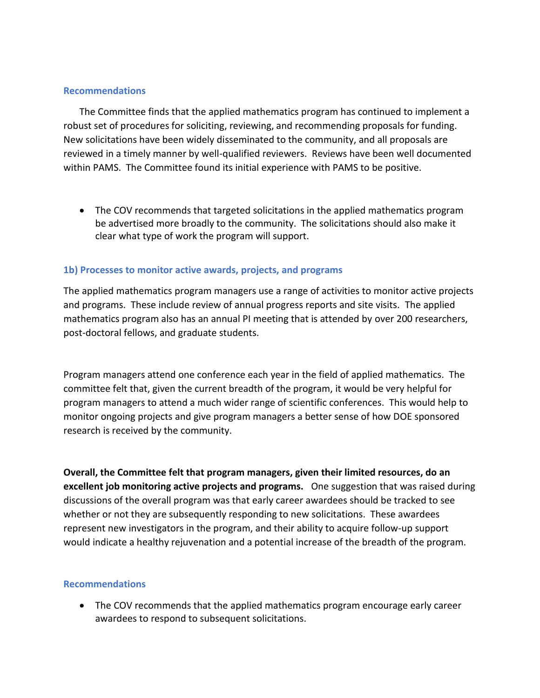#### **Recommendations**

The Committee finds that the applied mathematics program has continued to implement a robust set of procedures for soliciting, reviewing, and recommending proposals for funding. New solicitations have been widely disseminated to the community, and all proposals are reviewed in a timely manner by well-qualified reviewers. Reviews have been well documented within PAMS. The Committee found its initial experience with PAMS to be positive.

 The COV recommends that targeted solicitations in the applied mathematics program be advertised more broadly to the community. The solicitations should also make it clear what type of work the program will support.

#### **1b) Processes to monitor active awards, projects, and programs**

The applied mathematics program managers use a range of activities to monitor active projects and programs. These include review of annual progress reports and site visits. The applied mathematics program also has an annual PI meeting that is attended by over 200 researchers, post-doctoral fellows, and graduate students.

Program managers attend one conference each year in the field of applied mathematics. The committee felt that, given the current breadth of the program, it would be very helpful for program managers to attend a much wider range of scientific conferences. This would help to monitor ongoing projects and give program managers a better sense of how DOE sponsored research is received by the community.

**Overall, the Committee felt that program managers, given their limited resources, do an excellent job monitoring active projects and programs.** One suggestion that was raised during discussions of the overall program was that early career awardees should be tracked to see whether or not they are subsequently responding to new solicitations. These awardees represent new investigators in the program, and their ability to acquire follow-up support would indicate a healthy rejuvenation and a potential increase of the breadth of the program.

#### **Recommendations**

• The COV recommends that the applied mathematics program encourage early career awardees to respond to subsequent solicitations.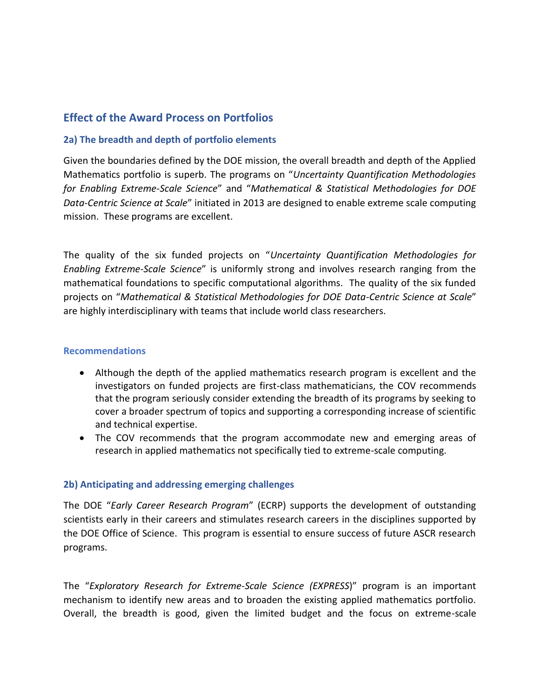### **Effect of the Award Process on Portfolios**

### **2a) The breadth and depth of portfolio elements**

Given the boundaries defined by the DOE mission, the overall breadth and depth of the Applied Mathematics portfolio is superb. The programs on "*Uncertainty Quantification Methodologies for Enabling Extreme-Scale Science*" and "*Mathematical & Statistical Methodologies for DOE Data-Centric Science at Scale*" initiated in 2013 are designed to enable extreme scale computing mission. These programs are excellent.

The quality of the six funded projects on "*Uncertainty Quantification Methodologies for Enabling Extreme-Scale Science*" is uniformly strong and involves research ranging from the mathematical foundations to specific computational algorithms. The quality of the six funded projects on "*Mathematical & Statistical Methodologies for DOE Data-Centric Science at Scale*" are highly interdisciplinary with teams that include world class researchers.

### **Recommendations**

- Although the depth of the applied mathematics research program is excellent and the investigators on funded projects are first-class mathematicians, the COV recommends that the program seriously consider extending the breadth of its programs by seeking to cover a broader spectrum of topics and supporting a corresponding increase of scientific and technical expertise.
- The COV recommends that the program accommodate new and emerging areas of research in applied mathematics not specifically tied to extreme-scale computing.

### **2b) Anticipating and addressing emerging challenges**

The DOE "*Early Career Research Program*" (ECRP) supports the development of outstanding scientists early in their careers and stimulates research careers in the disciplines supported by the DOE Office of Science. This program is essential to ensure success of future ASCR research programs.

The "*Exploratory Research for Extreme-Scale Science (EXPRESS*)" program is an important mechanism to identify new areas and to broaden the existing applied mathematics portfolio. Overall, the breadth is good, given the limited budget and the focus on extreme-scale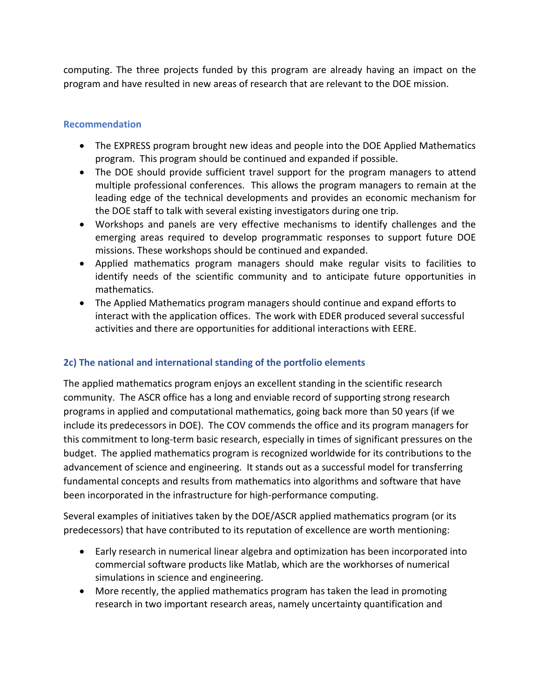computing. The three projects funded by this program are already having an impact on the program and have resulted in new areas of research that are relevant to the DOE mission.

### **Recommendation**

- The EXPRESS program brought new ideas and people into the DOE Applied Mathematics program. This program should be continued and expanded if possible.
- The DOE should provide sufficient travel support for the program managers to attend multiple professional conferences. This allows the program managers to remain at the leading edge of the technical developments and provides an economic mechanism for the DOE staff to talk with several existing investigators during one trip.
- Workshops and panels are very effective mechanisms to identify challenges and the emerging areas required to develop programmatic responses to support future DOE missions. These workshops should be continued and expanded.
- Applied mathematics program managers should make regular visits to facilities to identify needs of the scientific community and to anticipate future opportunities in mathematics.
- The Applied Mathematics program managers should continue and expand efforts to interact with the application offices. The work with EDER produced several successful activities and there are opportunities for additional interactions with EERE.

### **2c) The national and international standing of the portfolio elements**

The applied mathematics program enjoys an excellent standing in the scientific research community. The ASCR office has a long and enviable record of supporting strong research programs in applied and computational mathematics, going back more than 50 years (if we include its predecessors in DOE). The COV commends the office and its program managers for this commitment to long-term basic research, especially in times of significant pressures on the budget. The applied mathematics program is recognized worldwide for its contributions to the advancement of science and engineering. It stands out as a successful model for transferring fundamental concepts and results from mathematics into algorithms and software that have been incorporated in the infrastructure for high-performance computing.

Several examples of initiatives taken by the DOE/ASCR applied mathematics program (or its predecessors) that have contributed to its reputation of excellence are worth mentioning:

- Early research in numerical linear algebra and optimization has been incorporated into commercial software products like Matlab, which are the workhorses of numerical simulations in science and engineering.
- More recently, the applied mathematics program has taken the lead in promoting research in two important research areas, namely uncertainty quantification and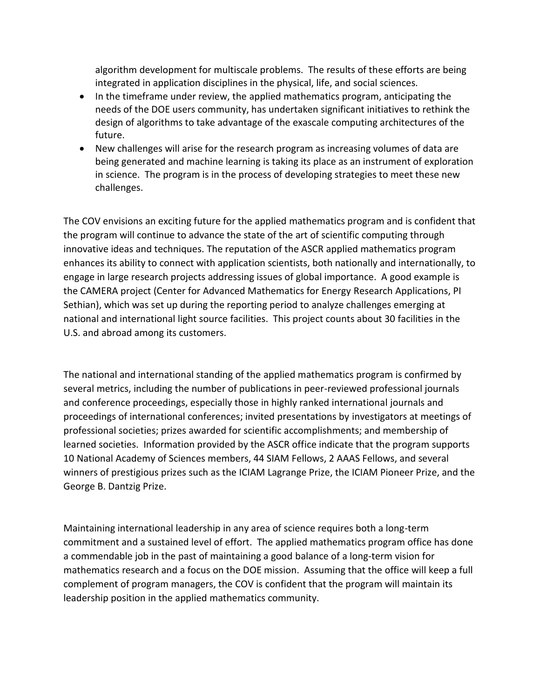algorithm development for multiscale problems. The results of these efforts are being integrated in application disciplines in the physical, life, and social sciences.

- In the timeframe under review, the applied mathematics program, anticipating the needs of the DOE users community, has undertaken significant initiatives to rethink the design of algorithms to take advantage of the exascale computing architectures of the future.
- New challenges will arise for the research program as increasing volumes of data are being generated and machine learning is taking its place as an instrument of exploration in science. The program is in the process of developing strategies to meet these new challenges.

The COV envisions an exciting future for the applied mathematics program and is confident that the program will continue to advance the state of the art of scientific computing through innovative ideas and techniques. The reputation of the ASCR applied mathematics program enhances its ability to connect with application scientists, both nationally and internationally, to engage in large research projects addressing issues of global importance. A good example is the CAMERA project (Center for Advanced Mathematics for Energy Research Applications, PI Sethian), which was set up during the reporting period to analyze challenges emerging at national and international light source facilities. This project counts about 30 facilities in the U.S. and abroad among its customers.

The national and international standing of the applied mathematics program is confirmed by several metrics, including the number of publications in peer-reviewed professional journals and conference proceedings, especially those in highly ranked international journals and proceedings of international conferences; invited presentations by investigators at meetings of professional societies; prizes awarded for scientific accomplishments; and membership of learned societies. Information provided by the ASCR office indicate that the program supports 10 National Academy of Sciences members, 44 SIAM Fellows, 2 AAAS Fellows, and several winners of prestigious prizes such as the ICIAM Lagrange Prize, the ICIAM Pioneer Prize, and the George B. Dantzig Prize.

Maintaining international leadership in any area of science requires both a long-term commitment and a sustained level of effort. The applied mathematics program office has done a commendable job in the past of maintaining a good balance of a long-term vision for mathematics research and a focus on the DOE mission. Assuming that the office will keep a full complement of program managers, the COV is confident that the program will maintain its leadership position in the applied mathematics community.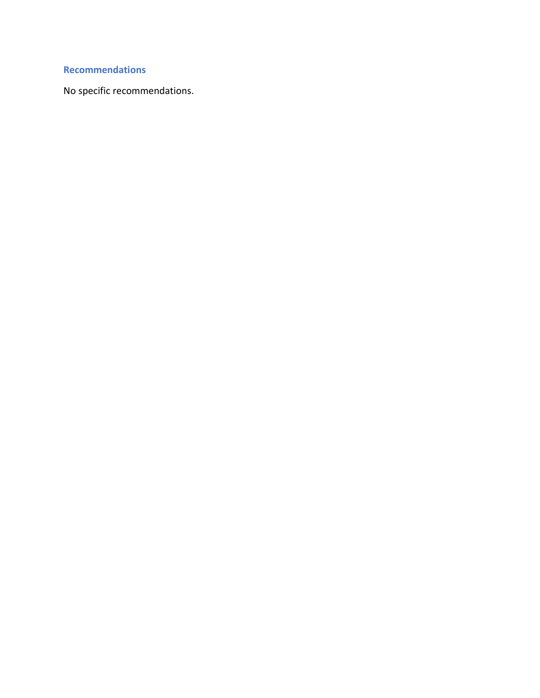## **Recommendations**

No specific recommendations.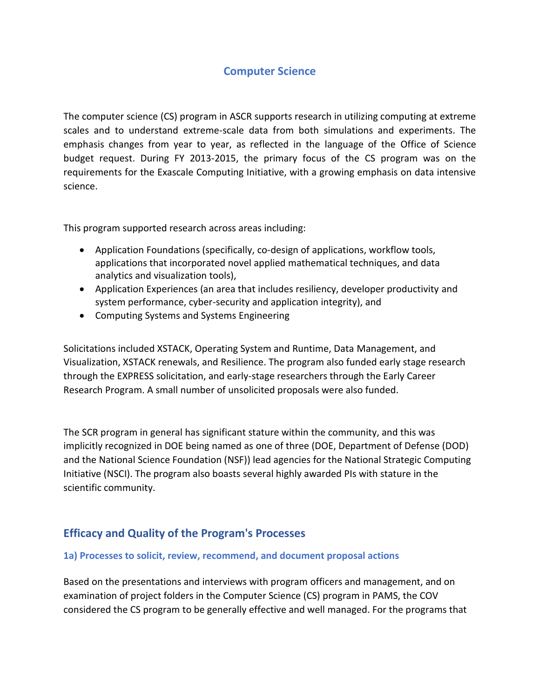## **Computer Science**

The computer science (CS) program in ASCR supports research in utilizing computing at extreme scales and to understand extreme-scale data from both simulations and experiments. The emphasis changes from year to year, as reflected in the language of the Office of Science budget request. During FY 2013-2015, the primary focus of the CS program was on the requirements for the Exascale Computing Initiative, with a growing emphasis on data intensive science.

This program supported research across areas including:

- Application Foundations (specifically, co-design of applications, workflow tools, applications that incorporated novel applied mathematical techniques, and data analytics and visualization tools),
- Application Experiences (an area that includes resiliency, developer productivity and system performance, cyber-security and application integrity), and
- Computing Systems and Systems Engineering

Solicitations included XSTACK, Operating System and Runtime, Data Management, and Visualization, XSTACK renewals, and Resilience. The program also funded early stage research through the EXPRESS solicitation, and early-stage researchers through the Early Career Research Program. A small number of unsolicited proposals were also funded.

The SCR program in general has significant stature within the community, and this was implicitly recognized in DOE being named as one of three (DOE, Department of Defense (DOD) and the National Science Foundation (NSF)) lead agencies for the National Strategic Computing Initiative (NSCI). The program also boasts several highly awarded PIs with stature in the scientific community.

### **Efficacy and Quality of the Program's Processes**

### **1a) Processes to solicit, review, recommend, and document proposal actions**

Based on the presentations and interviews with program officers and management, and on examination of project folders in the Computer Science (CS) program in PAMS, the COV considered the CS program to be generally effective and well managed. For the programs that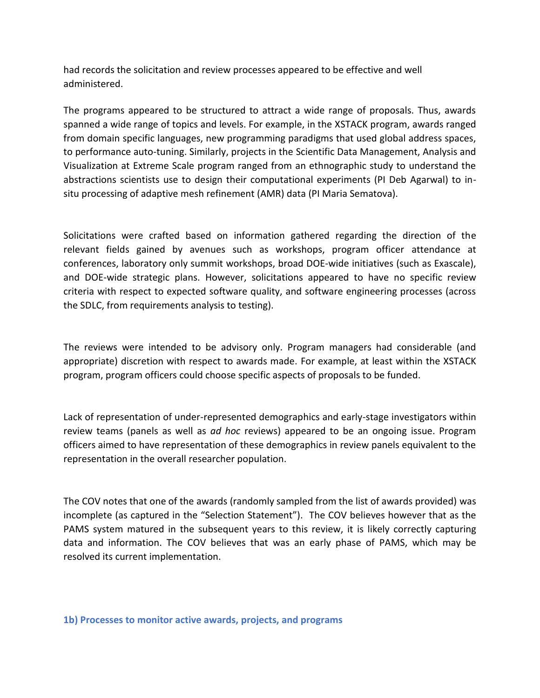had records the solicitation and review processes appeared to be effective and well administered.

The programs appeared to be structured to attract a wide range of proposals. Thus, awards spanned a wide range of topics and levels. For example, in the XSTACK program, awards ranged from domain specific languages, new programming paradigms that used global address spaces, to performance auto-tuning. Similarly, projects in the Scientific Data Management, Analysis and Visualization at Extreme Scale program ranged from an ethnographic study to understand the abstractions scientists use to design their computational experiments (PI Deb Agarwal) to insitu processing of adaptive mesh refinement (AMR) data (PI Maria Sematova).

Solicitations were crafted based on information gathered regarding the direction of the relevant fields gained by avenues such as workshops, program officer attendance at conferences, laboratory only summit workshops, broad DOE-wide initiatives (such as Exascale), and DOE-wide strategic plans. However, solicitations appeared to have no specific review criteria with respect to expected software quality, and software engineering processes (across the SDLC, from requirements analysis to testing).

The reviews were intended to be advisory only. Program managers had considerable (and appropriate) discretion with respect to awards made. For example, at least within the XSTACK program, program officers could choose specific aspects of proposals to be funded.

Lack of representation of under-represented demographics and early-stage investigators within review teams (panels as well as *ad hoc* reviews) appeared to be an ongoing issue. Program officers aimed to have representation of these demographics in review panels equivalent to the representation in the overall researcher population.

The COV notes that one of the awards (randomly sampled from the list of awards provided) was incomplete (as captured in the "Selection Statement"). The COV believes however that as the PAMS system matured in the subsequent years to this review, it is likely correctly capturing data and information. The COV believes that was an early phase of PAMS, which may be resolved its current implementation.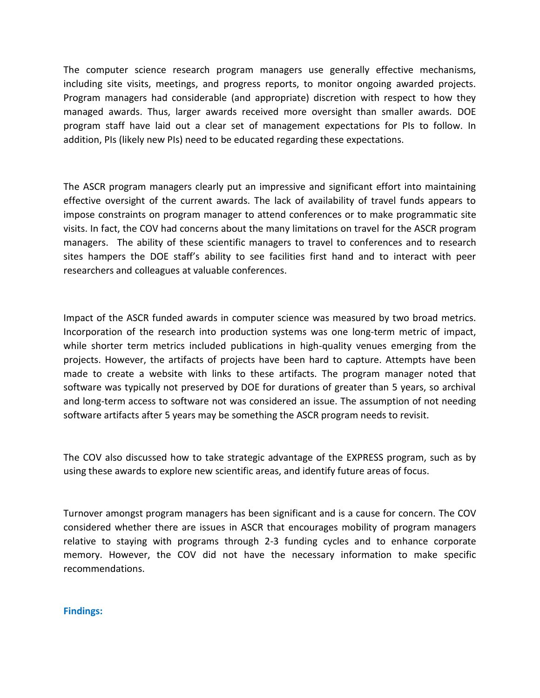The computer science research program managers use generally effective mechanisms, including site visits, meetings, and progress reports, to monitor ongoing awarded projects. Program managers had considerable (and appropriate) discretion with respect to how they managed awards. Thus, larger awards received more oversight than smaller awards. DOE program staff have laid out a clear set of management expectations for PIs to follow. In addition, PIs (likely new PIs) need to be educated regarding these expectations.

The ASCR program managers clearly put an impressive and significant effort into maintaining effective oversight of the current awards. The lack of availability of travel funds appears to impose constraints on program manager to attend conferences or to make programmatic site visits. In fact, the COV had concerns about the many limitations on travel for the ASCR program managers. The ability of these scientific managers to travel to conferences and to research sites hampers the DOE staff's ability to see facilities first hand and to interact with peer researchers and colleagues at valuable conferences.

Impact of the ASCR funded awards in computer science was measured by two broad metrics. Incorporation of the research into production systems was one long-term metric of impact, while shorter term metrics included publications in high-quality venues emerging from the projects. However, the artifacts of projects have been hard to capture. Attempts have been made to create a website with links to these artifacts. The program manager noted that software was typically not preserved by DOE for durations of greater than 5 years, so archival and long-term access to software not was considered an issue. The assumption of not needing software artifacts after 5 years may be something the ASCR program needs to revisit.

The COV also discussed how to take strategic advantage of the EXPRESS program, such as by using these awards to explore new scientific areas, and identify future areas of focus.

Turnover amongst program managers has been significant and is a cause for concern. The COV considered whether there are issues in ASCR that encourages mobility of program managers relative to staying with programs through 2-3 funding cycles and to enhance corporate memory. However, the COV did not have the necessary information to make specific recommendations.

#### **Findings:**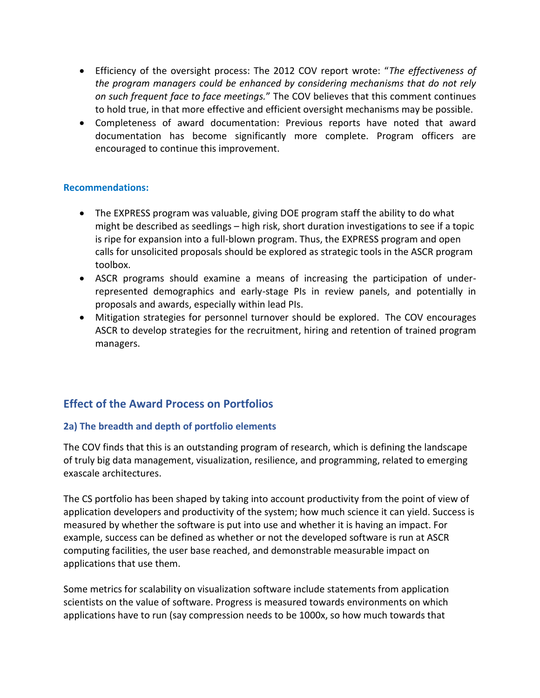- Efficiency of the oversight process: The 2012 COV report wrote: "*The effectiveness of the program managers could be enhanced by considering mechanisms that do not rely on such frequent face to face meetings.*" The COV believes that this comment continues to hold true, in that more effective and efficient oversight mechanisms may be possible.
- Completeness of award documentation: Previous reports have noted that award documentation has become significantly more complete. Program officers are encouraged to continue this improvement.

### **Recommendations:**

- The EXPRESS program was valuable, giving DOE program staff the ability to do what might be described as seedlings – high risk, short duration investigations to see if a topic is ripe for expansion into a full-blown program. Thus, the EXPRESS program and open calls for unsolicited proposals should be explored as strategic tools in the ASCR program toolbox.
- ASCR programs should examine a means of increasing the participation of underrepresented demographics and early-stage PIs in review panels, and potentially in proposals and awards, especially within lead PIs.
- Mitigation strategies for personnel turnover should be explored. The COV encourages ASCR to develop strategies for the recruitment, hiring and retention of trained program managers.

## **Effect of the Award Process on Portfolios**

### **2a) The breadth and depth of portfolio elements**

The COV finds that this is an outstanding program of research, which is defining the landscape of truly big data management, visualization, resilience, and programming, related to emerging exascale architectures.

The CS portfolio has been shaped by taking into account productivity from the point of view of application developers and productivity of the system; how much science it can yield. Success is measured by whether the software is put into use and whether it is having an impact. For example, success can be defined as whether or not the developed software is run at ASCR computing facilities, the user base reached, and demonstrable measurable impact on applications that use them.

Some metrics for scalability on visualization software include statements from application scientists on the value of software. Progress is measured towards environments on which applications have to run (say compression needs to be 1000x, so how much towards that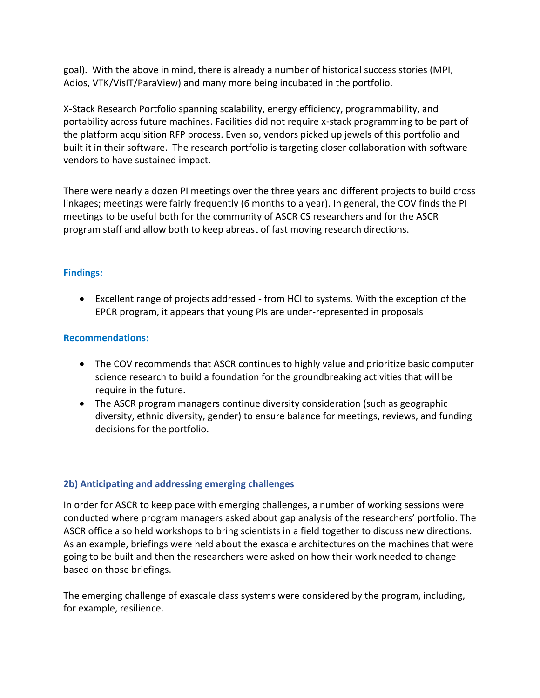goal). With the above in mind, there is already a number of historical success stories (MPI, Adios, VTK/VisIT/ParaView) and many more being incubated in the portfolio.

X-Stack Research Portfolio spanning scalability, energy efficiency, programmability, and portability across future machines. Facilities did not require x-stack programming to be part of the platform acquisition RFP process. Even so, vendors picked up jewels of this portfolio and built it in their software. The research portfolio is targeting closer collaboration with software vendors to have sustained impact.

There were nearly a dozen PI meetings over the three years and different projects to build cross linkages; meetings were fairly frequently (6 months to a year). In general, the COV finds the PI meetings to be useful both for the community of ASCR CS researchers and for the ASCR program staff and allow both to keep abreast of fast moving research directions.

### **Findings:**

 Excellent range of projects addressed - from HCI to systems. With the exception of the EPCR program, it appears that young PIs are under-represented in proposals

### **Recommendations:**

- The COV recommends that ASCR continues to highly value and prioritize basic computer science research to build a foundation for the groundbreaking activities that will be require in the future.
- The ASCR program managers continue diversity consideration (such as geographic diversity, ethnic diversity, gender) to ensure balance for meetings, reviews, and funding decisions for the portfolio.

### **2b) Anticipating and addressing emerging challenges**

In order for ASCR to keep pace with emerging challenges, a number of working sessions were conducted where program managers asked about gap analysis of the researchers' portfolio. The ASCR office also held workshops to bring scientists in a field together to discuss new directions. As an example, briefings were held about the exascale architectures on the machines that were going to be built and then the researchers were asked on how their work needed to change based on those briefings.

The emerging challenge of exascale class systems were considered by the program, including, for example, resilience.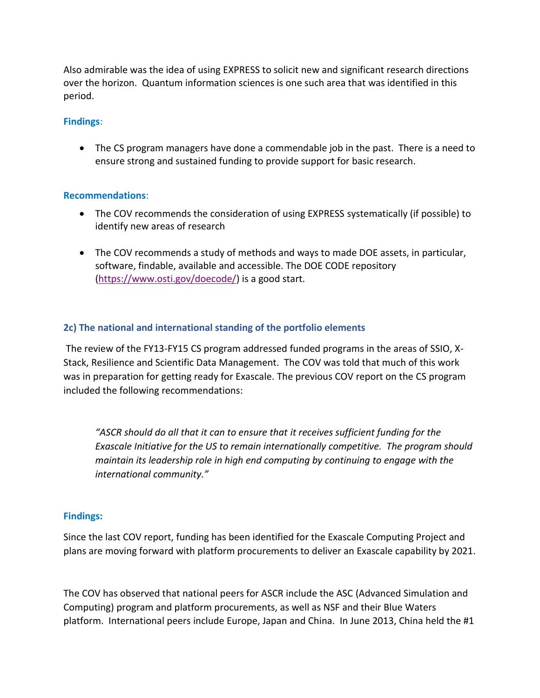Also admirable was the idea of using EXPRESS to solicit new and significant research directions over the horizon. Quantum information sciences is one such area that was identified in this period.

### **Findings**:

 The CS program managers have done a commendable job in the past. There is a need to ensure strong and sustained funding to provide support for basic research.

### **Recommendations**:

- The COV recommends the consideration of using EXPRESS systematically (if possible) to identify new areas of research
- The COV recommends a study of methods and ways to made DOE assets, in particular, software, findable, available and accessible. The DOE CODE repository [\(https://www.osti.gov/doecode/\)](https://www.osti.gov/doecode/) is a good start.

### **2c) The national and international standing of the portfolio elements**

The review of the FY13-FY15 CS program addressed funded programs in the areas of SSIO, X-Stack, Resilience and Scientific Data Management. The COV was told that much of this work was in preparation for getting ready for Exascale. The previous COV report on the CS program included the following recommendations:

*"ASCR should do all that it can to ensure that it receives sufficient funding for the Exascale Initiative for the US to remain internationally competitive. The program should maintain its leadership role in high end computing by continuing to engage with the international community."*

### **Findings:**

Since the last COV report, funding has been identified for the Exascale Computing Project and plans are moving forward with platform procurements to deliver an Exascale capability by 2021.

The COV has observed that national peers for ASCR include the ASC (Advanced Simulation and Computing) program and platform procurements, as well as NSF and their Blue Waters platform. International peers include Europe, Japan and China. In June 2013, China held the #1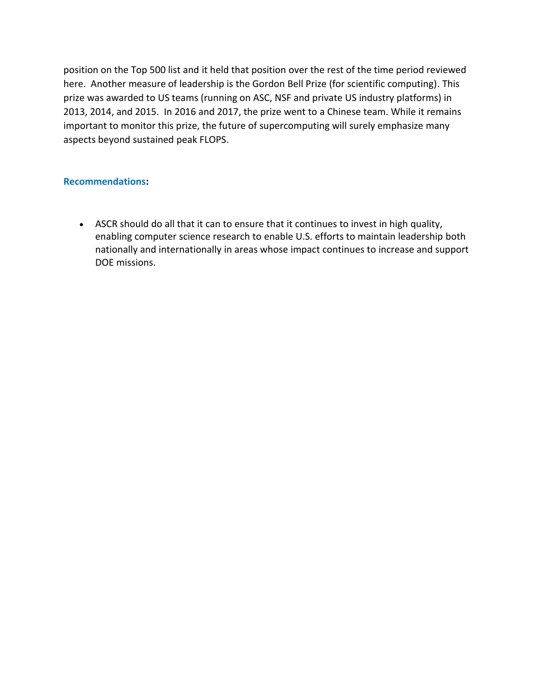position on the Top 500 list and it held that position over the rest of the time period reviewed here. Another measure of leadership is the Gordon Bell Prize (for scientific computing). This prize was awarded to US teams (running on ASC, NSF and private US industry platforms) in 2013, 2014, and 2015. In 2016 and 2017, the prize went to a Chinese team. While it remains important to monitor this prize, the future of supercomputing will surely emphasize many aspects beyond sustained peak FLOPS.

### **Recommendations:**

 ASCR should do all that it can to ensure that it continues to invest in high quality, enabling computer science research to enable U.S. efforts to maintain leadership both nationally and internationally in areas whose impact continues to increase and support DOE missions.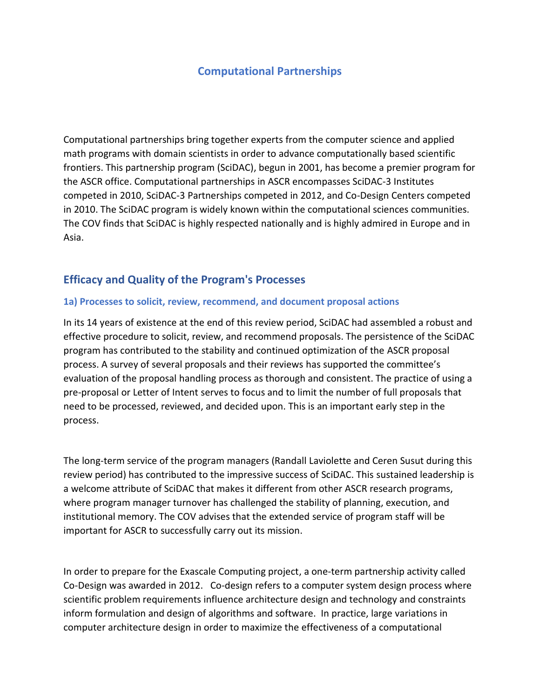## **Computational Partnerships**

Computational partnerships bring together experts from the computer science and applied math programs with domain scientists in order to advance computationally based scientific frontiers. This partnership program (SciDAC), begun in 2001, has become a premier program for the ASCR office. Computational partnerships in ASCR encompasses SciDAC-3 Institutes competed in 2010, SciDAC-3 Partnerships competed in 2012, and Co-Design Centers competed in 2010. The SciDAC program is widely known within the computational sciences communities. The COV finds that SciDAC is highly respected nationally and is highly admired in Europe and in Asia.

### **Efficacy and Quality of the Program's Processes**

### **1a) Processes to solicit, review, recommend, and document proposal actions**

In its 14 years of existence at the end of this review period, SciDAC had assembled a robust and effective procedure to solicit, review, and recommend proposals. The persistence of the SciDAC program has contributed to the stability and continued optimization of the ASCR proposal process. A survey of several proposals and their reviews has supported the committee's evaluation of the proposal handling process as thorough and consistent. The practice of using a pre-proposal or Letter of Intent serves to focus and to limit the number of full proposals that need to be processed, reviewed, and decided upon. This is an important early step in the process.

The long-term service of the program managers (Randall Laviolette and Ceren Susut during this review period) has contributed to the impressive success of SciDAC. This sustained leadership is a welcome attribute of SciDAC that makes it different from other ASCR research programs, where program manager turnover has challenged the stability of planning, execution, and institutional memory. The COV advises that the extended service of program staff will be important for ASCR to successfully carry out its mission.

In order to prepare for the Exascale Computing project, a one-term partnership activity called Co-Design was awarded in 2012.Co-design refers to a computer system design process where scientific problem requirements influence architecture design and technology and constraints inform formulation and design of algorithms and software. In practice, large variations in computer architecture design in order to maximize the effectiveness of a computational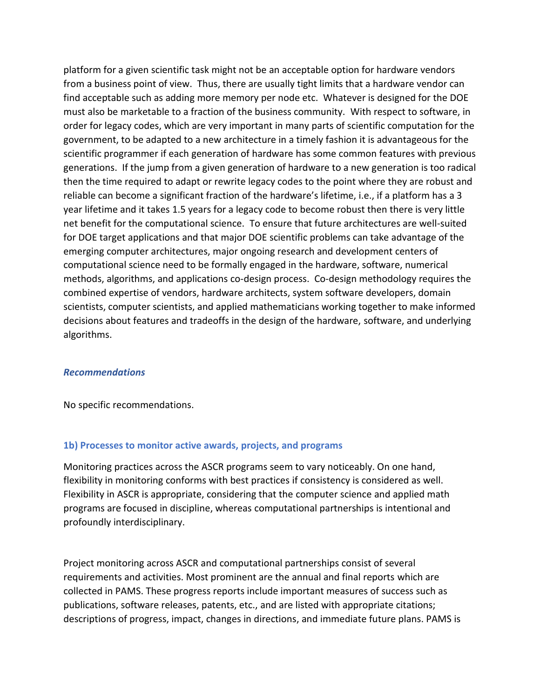platform for a given scientific task might not be an acceptable option for hardware vendors from a business point of view. Thus, there are usually tight limits that a hardware vendor can find acceptable such as adding more memory per node etc. Whatever is designed for the DOE must also be marketable to a fraction of the business community. With respect to software, in order for legacy codes, which are very important in many parts of scientific computation for the government, to be adapted to a new architecture in a timely fashion it is advantageous for the scientific programmer if each generation of hardware has some common features with previous generations. If the jump from a given generation of hardware to a new generation is too radical then the time required to adapt or rewrite legacy codes to the point where they are robust and reliable can become a significant fraction of the hardware's lifetime, i.e., if a platform has a 3 year lifetime and it takes 1.5 years for a legacy code to become robust then there is very little net benefit for the computational science. To ensure that future architectures are well-suited for DOE target applications and that major DOE scientific problems can take advantage of the emerging computer architectures, major ongoing research and development centers of computational science need to be formally engaged in the hardware, software, numerical methods, algorithms, and applications co-design process. Co-design methodology requires the combined expertise of vendors, hardware architects, system software developers, domain scientists, computer scientists, and applied mathematicians working together to make informed decisions about features and tradeoffs in the design of the hardware, software, and underlying algorithms.

#### *Recommendations*

No specific recommendations.

#### **1b) Processes to monitor active awards, projects, and programs**

Monitoring practices across the ASCR programs seem to vary noticeably. On one hand, flexibility in monitoring conforms with best practices if consistency is considered as well. Flexibility in ASCR is appropriate, considering that the computer science and applied math programs are focused in discipline, whereas computational partnerships is intentional and profoundly interdisciplinary.

Project monitoring across ASCR and computational partnerships consist of several requirements and activities. Most prominent are the annual and final reports which are collected in PAMS. These progress reports include important measures of success such as publications, software releases, patents, etc., and are listed with appropriate citations; descriptions of progress, impact, changes in directions, and immediate future plans. PAMS is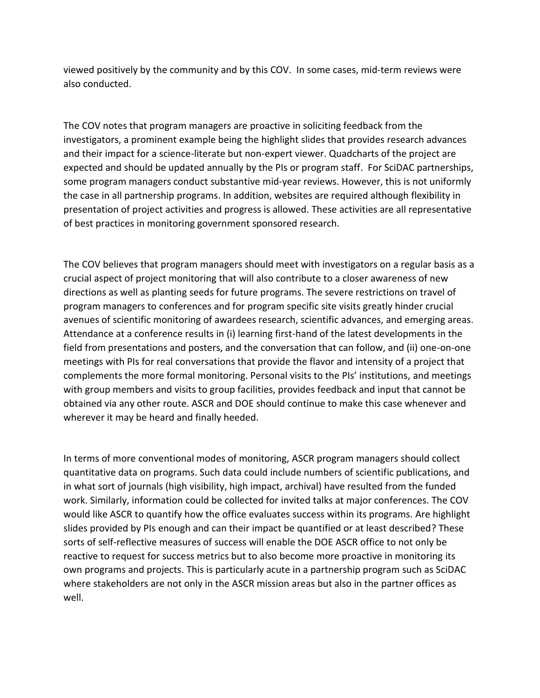viewed positively by the community and by this COV. In some cases, mid-term reviews were also conducted.

The COV notes that program managers are proactive in soliciting feedback from the investigators, a prominent example being the highlight slides that provides research advances and their impact for a science-literate but non-expert viewer. Quadcharts of the project are expected and should be updated annually by the PIs or program staff. For SciDAC partnerships, some program managers conduct substantive mid-year reviews. However, this is not uniformly the case in all partnership programs. In addition, websites are required although flexibility in presentation of project activities and progress is allowed. These activities are all representative of best practices in monitoring government sponsored research.

The COV believes that program managers should meet with investigators on a regular basis as a crucial aspect of project monitoring that will also contribute to a closer awareness of new directions as well as planting seeds for future programs. The severe restrictions on travel of program managers to conferences and for program specific site visits greatly hinder crucial avenues of scientific monitoring of awardees research, scientific advances, and emerging areas. Attendance at a conference results in (i) learning first-hand of the latest developments in the field from presentations and posters, and the conversation that can follow, and (ii) one-on-one meetings with PIs for real conversations that provide the flavor and intensity of a project that complements the more formal monitoring. Personal visits to the PIs' institutions, and meetings with group members and visits to group facilities, provides feedback and input that cannot be obtained via any other route. ASCR and DOE should continue to make this case whenever and wherever it may be heard and finally heeded.

In terms of more conventional modes of monitoring, ASCR program managers should collect quantitative data on programs. Such data could include numbers of scientific publications, and in what sort of journals (high visibility, high impact, archival) have resulted from the funded work. Similarly, information could be collected for invited talks at major conferences. The COV would like ASCR to quantify how the office evaluates success within its programs. Are highlight slides provided by PIs enough and can their impact be quantified or at least described? These sorts of self-reflective measures of success will enable the DOE ASCR office to not only be reactive to request for success metrics but to also become more proactive in monitoring its own programs and projects. This is particularly acute in a partnership program such as SciDAC where stakeholders are not only in the ASCR mission areas but also in the partner offices as well.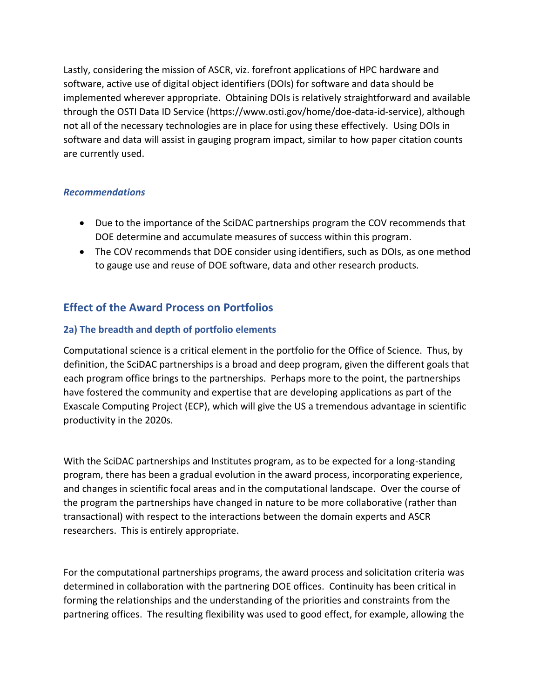Lastly, considering the mission of ASCR, viz. forefront applications of HPC hardware and software, active use of digital object identifiers (DOIs) for software and data should be implemented wherever appropriate. Obtaining DOIs is relatively straightforward and available through the OSTI Data ID Service (https://www.osti.gov/home/doe-data-id-service), although not all of the necessary technologies are in place for using these effectively. Using DOIs in software and data will assist in gauging program impact, similar to how paper citation counts are currently used.

### *Recommendations*

- Due to the importance of the SciDAC partnerships program the COV recommends that DOE determine and accumulate measures of success within this program.
- The COV recommends that DOE consider using identifiers, such as DOIs, as one method to gauge use and reuse of DOE software, data and other research products.

## **Effect of the Award Process on Portfolios**

### **2a) The breadth and depth of portfolio elements**

Computational science is a critical element in the portfolio for the Office of Science. Thus, by definition, the SciDAC partnerships is a broad and deep program, given the different goals that each program office brings to the partnerships. Perhaps more to the point, the partnerships have fostered the community and expertise that are developing applications as part of the Exascale Computing Project (ECP), which will give the US a tremendous advantage in scientific productivity in the 2020s.

With the SciDAC partnerships and Institutes program, as to be expected for a long-standing program, there has been a gradual evolution in the award process, incorporating experience, and changes in scientific focal areas and in the computational landscape. Over the course of the program the partnerships have changed in nature to be more collaborative (rather than transactional) with respect to the interactions between the domain experts and ASCR researchers. This is entirely appropriate.

For the computational partnerships programs, the award process and solicitation criteria was determined in collaboration with the partnering DOE offices. Continuity has been critical in forming the relationships and the understanding of the priorities and constraints from the partnering offices. The resulting flexibility was used to good effect, for example, allowing the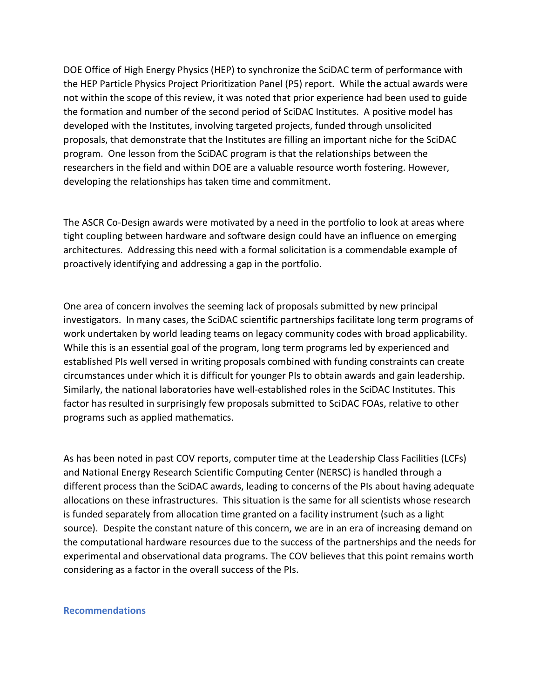DOE Office of High Energy Physics (HEP) to synchronize the SciDAC term of performance with the HEP Particle Physics Project Prioritization Panel (P5) report. While the actual awards were not within the scope of this review, it was noted that prior experience had been used to guide the formation and number of the second period of SciDAC Institutes. A positive model has developed with the Institutes, involving targeted projects, funded through unsolicited proposals, that demonstrate that the Institutes are filling an important niche for the SciDAC program. One lesson from the SciDAC program is that the relationships between the researchers in the field and within DOE are a valuable resource worth fostering. However, developing the relationships has taken time and commitment.

The ASCR Co-Design awards were motivated by a need in the portfolio to look at areas where tight coupling between hardware and software design could have an influence on emerging architectures. Addressing this need with a formal solicitation is a commendable example of proactively identifying and addressing a gap in the portfolio.

One area of concern involves the seeming lack of proposals submitted by new principal investigators. In many cases, the SciDAC scientific partnerships facilitate long term programs of work undertaken by world leading teams on legacy community codes with broad applicability. While this is an essential goal of the program, long term programs led by experienced and established PIs well versed in writing proposals combined with funding constraints can create circumstances under which it is difficult for younger PIs to obtain awards and gain leadership. Similarly, the national laboratories have well-established roles in the SciDAC Institutes. This factor has resulted in surprisingly few proposals submitted to SciDAC FOAs, relative to other programs such as applied mathematics.

As has been noted in past COV reports, computer time at the Leadership Class Facilities (LCFs) and National Energy Research Scientific Computing Center (NERSC) is handled through a different process than the SciDAC awards, leading to concerns of the PIs about having adequate allocations on these infrastructures. This situation is the same for all scientists whose research is funded separately from allocation time granted on a facility instrument (such as a light source). Despite the constant nature of this concern, we are in an era of increasing demand on the computational hardware resources due to the success of the partnerships and the needs for experimental and observational data programs. The COV believes that this point remains worth considering as a factor in the overall success of the PIs.

#### **Recommendations**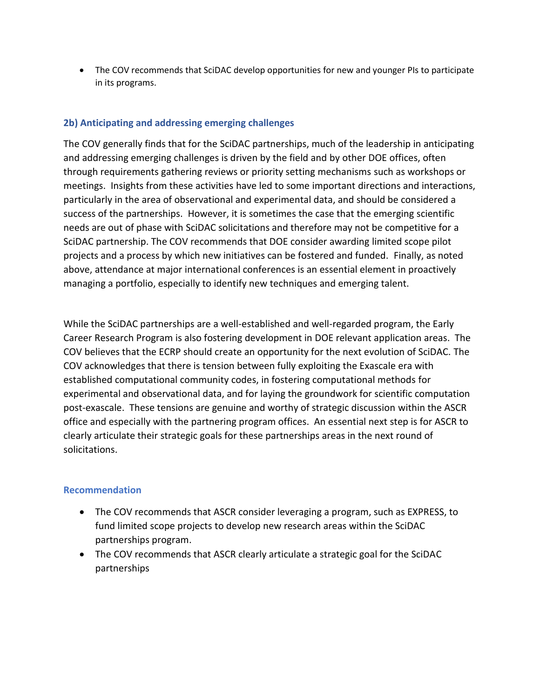The COV recommends that SciDAC develop opportunities for new and younger PIs to participate in its programs.

### **2b) Anticipating and addressing emerging challenges**

The COV generally finds that for the SciDAC partnerships, much of the leadership in anticipating and addressing emerging challenges is driven by the field and by other DOE offices, often through requirements gathering reviews or priority setting mechanisms such as workshops or meetings. Insights from these activities have led to some important directions and interactions, particularly in the area of observational and experimental data, and should be considered a success of the partnerships. However, it is sometimes the case that the emerging scientific needs are out of phase with SciDAC solicitations and therefore may not be competitive for a SciDAC partnership. The COV recommends that DOE consider awarding limited scope pilot projects and a process by which new initiatives can be fostered and funded. Finally, as noted above, attendance at major international conferences is an essential element in proactively managing a portfolio, especially to identify new techniques and emerging talent.

While the SciDAC partnerships are a well-established and well-regarded program, the Early Career Research Program is also fostering development in DOE relevant application areas. The COV believes that the ECRP should create an opportunity for the next evolution of SciDAC. The COV acknowledges that there is tension between fully exploiting the Exascale era with established computational community codes, in fostering computational methods for experimental and observational data, and for laying the groundwork for scientific computation post-exascale. These tensions are genuine and worthy of strategic discussion within the ASCR office and especially with the partnering program offices. An essential next step is for ASCR to clearly articulate their strategic goals for these partnerships areas in the next round of solicitations.

### **Recommendation**

- The COV recommends that ASCR consider leveraging a program, such as EXPRESS, to fund limited scope projects to develop new research areas within the SciDAC partnerships program.
- The COV recommends that ASCR clearly articulate a strategic goal for the SciDAC partnerships